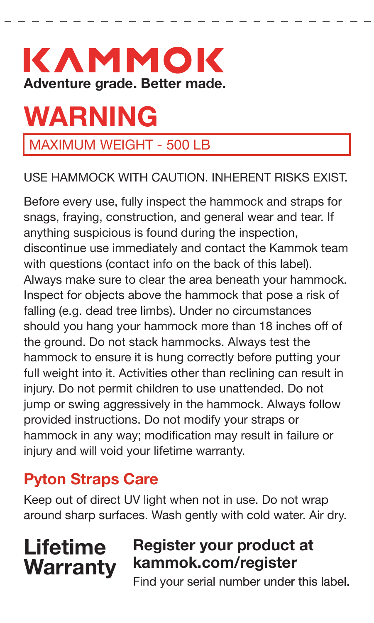# KAMMOK **Adventure grade. Better made.**

# **WARNING**

### MAXIMUM WEIGHT - 500 LB

#### USE HAMMOCK WITH CAUTION. INHERENT RISKS EXIST.

Before every use, fully inspect the hammock and straps for snags, fraying, construction, and general wear and tear. If anything suspicious is found during the inspection, discontinue use immediately and contact the Kammok team with questions (contact info on the back of this label). Always make sure to clear the area beneath your hammock. Inspect for objects above the hammock that pose a risk of falling (e.g. dead tree limbs). Under no circumstances should you hang your hammock more than 18 inches off of the ground. Do not stack hammocks. Always test the hammock to ensure it is hung correctly before putting your full weight into it. Activities other than reclining can result in injury. Do not permit children to use unattended. Do not jump or swing aggressively in the hammock. Always follow provided instructions. Do not modify your straps or hammock in any way; modification may result in failure or injury and will void your lifetime warranty.

## **Pyton Straps Care**

Keep out of direct UV light when not in use. Do not wrap around sharp surfaces. Wash gently with cold water. Air dry.

# **Lifetime Warranty**

# **Register your product at kammok.com/register**

Find your serial number under this label.